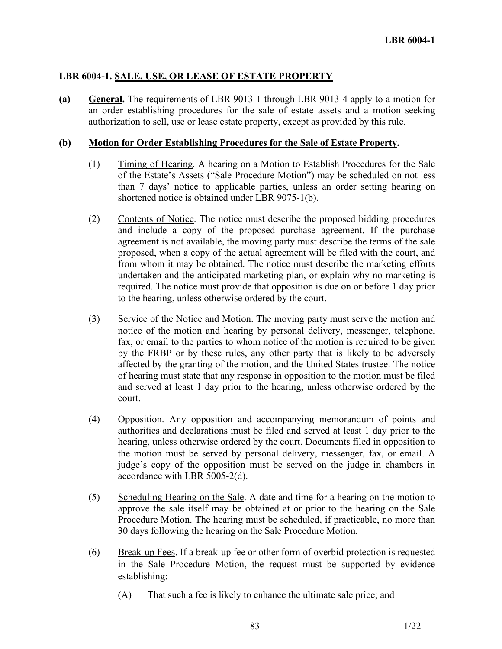# **LBR 6004-1. SALE, USE, OR LEASE OF ESTATE PROPERTY**

**(a) General.** The requirements of LBR 9013-1 through LBR 9013-4 apply to a motion for an order establishing procedures for the sale of estate assets and a motion seeking authorization to sell, use or lease estate property, except as provided by this rule.

#### **(b) Motion for Order Establishing Procedures for the Sale of Estate Property.**

- (1) Timing of Hearing. A hearing on a Motion to Establish Procedures for the Sale of the Estate's Assets ("Sale Procedure Motion") may be scheduled on not less than 7 days' notice to applicable parties, unless an order setting hearing on shortened notice is obtained under LBR 9075-1(b).
- (2) Contents of Notice. The notice must describe the proposed bidding procedures and include a copy of the proposed purchase agreement. If the purchase agreement is not available, the moving party must describe the terms of the sale proposed, when a copy of the actual agreement will be filed with the court, and from whom it may be obtained. The notice must describe the marketing efforts undertaken and the anticipated marketing plan, or explain why no marketing is required. The notice must provide that opposition is due on or before 1 day prior to the hearing, unless otherwise ordered by the court.
- (3) Service of the Notice and Motion. The moving party must serve the motion and notice of the motion and hearing by personal delivery, messenger, telephone, fax, or email to the parties to whom notice of the motion is required to be given by the FRBP or by these rules, any other party that is likely to be adversely affected by the granting of the motion, and the United States trustee. The notice of hearing must state that any response in opposition to the motion must be filed and served at least 1 day prior to the hearing, unless otherwise ordered by the court.
- (4) Opposition. Any opposition and accompanying memorandum of points and authorities and declarations must be filed and served at least 1 day prior to the hearing, unless otherwise ordered by the court. Documents filed in opposition to the motion must be served by personal delivery, messenger, fax, or email. A judge's copy of the opposition must be served on the judge in chambers in accordance with LBR 5005-2(d).
- (5) Scheduling Hearing on the Sale. A date and time for a hearing on the motion to approve the sale itself may be obtained at or prior to the hearing on the Sale Procedure Motion. The hearing must be scheduled, if practicable, no more than 30 days following the hearing on the Sale Procedure Motion.
- (6) Break-up Fees. If a break-up fee or other form of overbid protection is requested in the Sale Procedure Motion, the request must be supported by evidence establishing:
	- (A) That such a fee is likely to enhance the ultimate sale price; and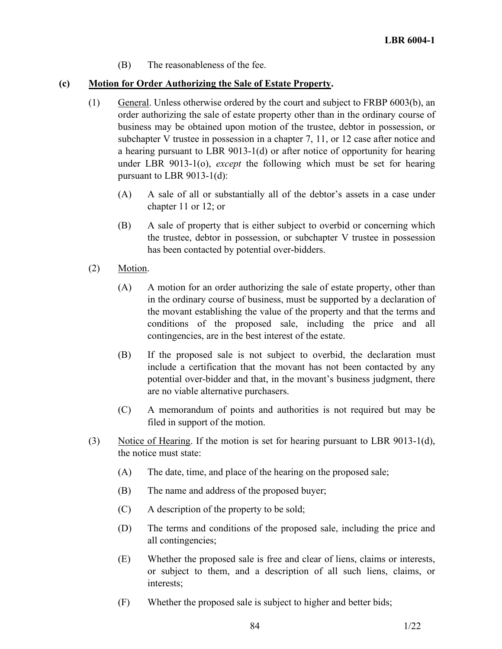(B) The reasonableness of the fee.

# **(c) Motion for Order Authorizing the Sale of Estate Property.**

- (1) General. Unless otherwise ordered by the court and subject to FRBP 6003(b), an order authorizing the sale of estate property other than in the ordinary course of business may be obtained upon motion of the trustee, debtor in possession, or subchapter V trustee in possession in a chapter 7, 11, or 12 case after notice and a hearing pursuant to LBR 9013-1(d) or after notice of opportunity for hearing under LBR 9013-1(o), *except* the following which must be set for hearing pursuant to LBR 9013-1(d):
	- (A) A sale of all or substantially all of the debtor's assets in a case under chapter 11 or 12; or
	- (B) A sale of property that is either subject to overbid or concerning which the trustee, debtor in possession, or subchapter V trustee in possession has been contacted by potential over-bidders.
- (2) Motion.
	- (A) A motion for an order authorizing the sale of estate property, other than in the ordinary course of business, must be supported by a declaration of the movant establishing the value of the property and that the terms and conditions of the proposed sale, including the price and all contingencies, are in the best interest of the estate.
	- (B) If the proposed sale is not subject to overbid, the declaration must include a certification that the movant has not been contacted by any potential over-bidder and that, in the movant's business judgment, there are no viable alternative purchasers.
	- (C) A memorandum of points and authorities is not required but may be filed in support of the motion.
- (3) Notice of Hearing. If the motion is set for hearing pursuant to LBR 9013-1(d), the notice must state:
	- (A) The date, time, and place of the hearing on the proposed sale;
	- (B) The name and address of the proposed buyer;
	- (C) A description of the property to be sold;
	- (D) The terms and conditions of the proposed sale, including the price and all contingencies;
	- (E) Whether the proposed sale is free and clear of liens, claims or interests, or subject to them, and a description of all such liens, claims, or interests;
	- (F) Whether the proposed sale is subject to higher and better bids;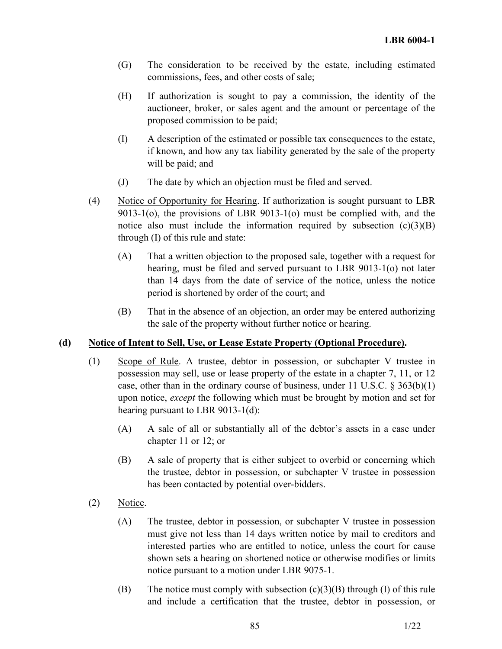- (G) The consideration to be received by the estate, including estimated commissions, fees, and other costs of sale;
- (H) If authorization is sought to pay a commission, the identity of the auctioneer, broker, or sales agent and the amount or percentage of the proposed commission to be paid;
- (I) A description of the estimated or possible tax consequences to the estate, if known, and how any tax liability generated by the sale of the property will be paid; and
- (J) The date by which an objection must be filed and served.
- (4) Notice of Opportunity for Hearing. If authorization is sought pursuant to LBR 9013-1(o), the provisions of LBR 9013-1(o) must be complied with, and the notice also must include the information required by subsection  $(c)(3)(B)$ through (I) of this rule and state:
	- (A) That a written objection to the proposed sale, together with a request for hearing, must be filed and served pursuant to LBR 9013-1(o) not later than 14 days from the date of service of the notice, unless the notice period is shortened by order of the court; and
	- (B) That in the absence of an objection, an order may be entered authorizing the sale of the property without further notice or hearing.

# **(d) Notice of Intent to Sell, Use, or Lease Estate Property (Optional Procedure).**

- (1) Scope of Rule. A trustee, debtor in possession, or subchapter V trustee in possession may sell, use or lease property of the estate in a chapter 7, 11, or 12 case, other than in the ordinary course of business, under 11 U.S.C.  $\S 363(b)(1)$ upon notice, *except* the following which must be brought by motion and set for hearing pursuant to LBR 9013-1(d):
	- (A) A sale of all or substantially all of the debtor's assets in a case under chapter 11 or 12; or
	- (B) A sale of property that is either subject to overbid or concerning which the trustee, debtor in possession, or subchapter V trustee in possession has been contacted by potential over-bidders.
- (2) Notice.
	- (A) The trustee, debtor in possession, or subchapter V trustee in possession must give not less than 14 days written notice by mail to creditors and interested parties who are entitled to notice, unless the court for cause shown sets a hearing on shortened notice or otherwise modifies or limits notice pursuant to a motion under LBR 9075-1.
	- (B) The notice must comply with subsection  $(c)(3)(B)$  through (I) of this rule and include a certification that the trustee, debtor in possession, or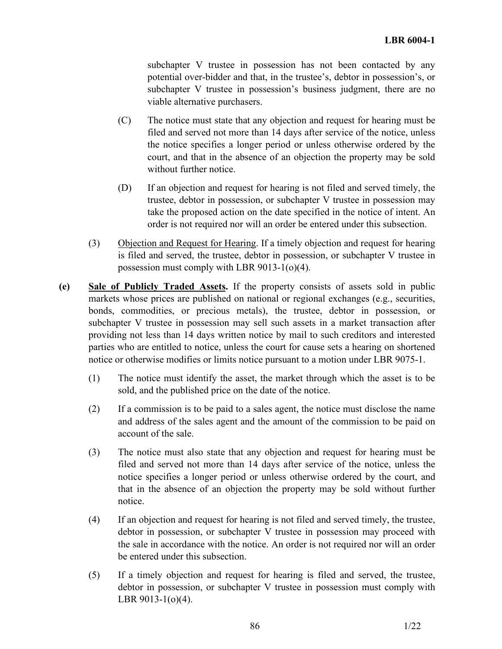subchapter V trustee in possession has not been contacted by any potential over-bidder and that, in the trustee's, debtor in possession's, or subchapter V trustee in possession's business judgment, there are no viable alternative purchasers.

- (C) The notice must state that any objection and request for hearing must be filed and served not more than 14 days after service of the notice, unless the notice specifies a longer period or unless otherwise ordered by the court, and that in the absence of an objection the property may be sold without further notice.
- (D) If an objection and request for hearing is not filed and served timely, the trustee, debtor in possession, or subchapter V trustee in possession may take the proposed action on the date specified in the notice of intent. An order is not required nor will an order be entered under this subsection.
- (3) Objection and Request for Hearing. If a timely objection and request for hearing is filed and served, the trustee, debtor in possession, or subchapter V trustee in possession must comply with LBR 9013-1(o)(4).
- **(e) Sale of Publicly Traded Assets.** If the property consists of assets sold in public markets whose prices are published on national or regional exchanges (e.g., securities, bonds, commodities, or precious metals), the trustee, debtor in possession, or subchapter V trustee in possession may sell such assets in a market transaction after providing not less than 14 days written notice by mail to such creditors and interested parties who are entitled to notice, unless the court for cause sets a hearing on shortened notice or otherwise modifies or limits notice pursuant to a motion under LBR 9075-1.
	- (1) The notice must identify the asset, the market through which the asset is to be sold, and the published price on the date of the notice.
	- (2) If a commission is to be paid to a sales agent, the notice must disclose the name and address of the sales agent and the amount of the commission to be paid on account of the sale.
	- (3) The notice must also state that any objection and request for hearing must be filed and served not more than 14 days after service of the notice, unless the notice specifies a longer period or unless otherwise ordered by the court, and that in the absence of an objection the property may be sold without further notice.
	- (4) If an objection and request for hearing is not filed and served timely, the trustee, debtor in possession, or subchapter V trustee in possession may proceed with the sale in accordance with the notice. An order is not required nor will an order be entered under this subsection.
	- (5) If a timely objection and request for hearing is filed and served, the trustee, debtor in possession, or subchapter V trustee in possession must comply with LBR 9013-1(o)(4).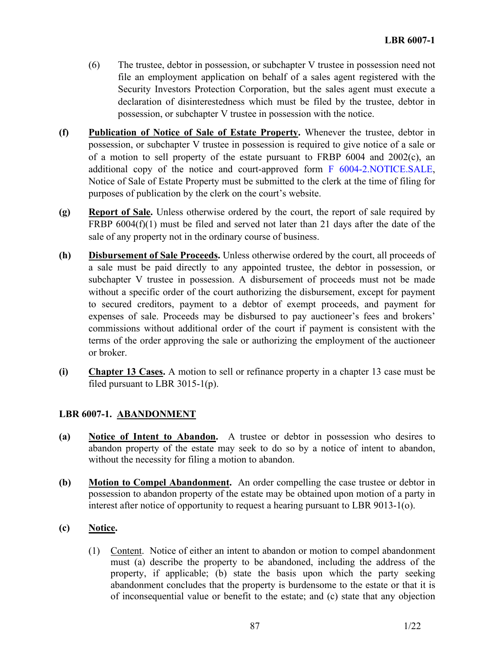- (6) The trustee, debtor in possession, or subchapter V trustee in possession need not file an employment application on behalf of a sales agent registered with the Security Investors Protection Corporation, but the sales agent must execute a declaration of disinterestedness which must be filed by the trustee, debtor in possession, or subchapter V trustee in possession with the notice.
- **(f) Publication of Notice of Sale of Estate Property.** Whenever the trustee, debtor in possession, or subchapter V trustee in possession is required to give notice of a sale or of a motion to sell property of the estate pursuant to FRBP 6004 and 2002(c), an additional copy of the notice and court-approved form F 6004-2.NOTICE.SALE, Notice of Sale of Estate Property must be submitted to the clerk at the time of filing for purposes of publication by the clerk on the court's website.
- **(g) Report of Sale.** Unless otherwise ordered by the court, the report of sale required by FRBP 6004(f)(1) must be filed and served not later than 21 days after the date of the sale of any property not in the ordinary course of business.
- **(h) Disbursement of Sale Proceeds.** Unless otherwise ordered by the court, all proceeds of a sale must be paid directly to any appointed trustee, the debtor in possession, or subchapter V trustee in possession. A disbursement of proceeds must not be made without a specific order of the court authorizing the disbursement, except for payment to secured creditors, payment to a debtor of exempt proceeds, and payment for expenses of sale. Proceeds may be disbursed to pay auctioneer's fees and brokers' commissions without additional order of the court if payment is consistent with the terms of the order approving the sale or authorizing the employment of the auctioneer or broker.
- **(i) Chapter 13 Cases.** A motion to sell or refinance property in a chapter 13 case must be filed pursuant to LBR 3015-1(p).

# **LBR 6007-1. ABANDONMENT**

- **(a) Notice of Intent to Abandon.** A trustee or debtor in possession who desires to abandon property of the estate may seek to do so by a notice of intent to abandon, without the necessity for filing a motion to abandon.
- **(b) Motion to Compel Abandonment.** An order compelling the case trustee or debtor in possession to abandon property of the estate may be obtained upon motion of a party in interest after notice of opportunity to request a hearing pursuant to LBR 9013-1(o).

# **(c) Notice.**

(1) Content. Notice of either an intent to abandon or motion to compel abandonment must (a) describe the property to be abandoned, including the address of the property, if applicable; (b) state the basis upon which the party seeking abandonment concludes that the property is burdensome to the estate or that it is of inconsequential value or benefit to the estate; and (c) state that any objection